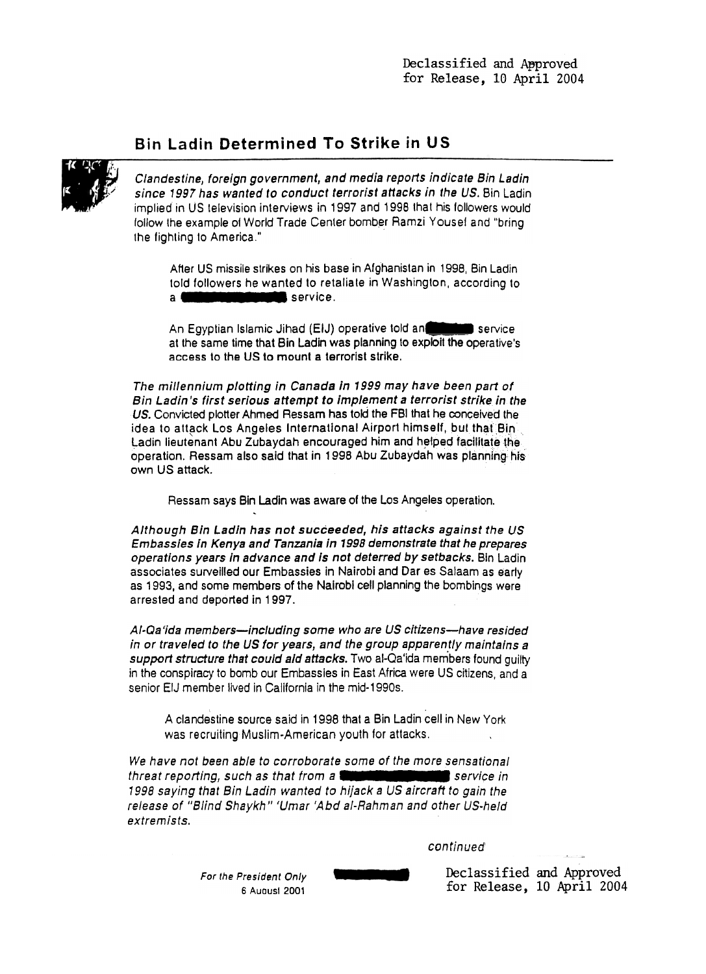## Bin Ladin Determined To Strike in US



Clandestine, foreign government, and media reports indicate Bin Ladin since 1997 has wanted to conduct terrorist attacks in the US. Bin Ladin implied in US television interviews in 1997 and 1998 that his followers would follow the example of World Trade Center bomber Ramzi Youse! and "bring the fighting to America."

After US missile strikes on his base in Afghanistan in 1998, Bin Ladin told followers he wanted to retaliate in Washington, according to <sup>a</sup>-- -- service.

An Egyptian Islamic Jihad (EIJ) operative told an at the same time that Bin Ladin was planning to exploit the operative's access to the US to mount a terrorist strike.

The millennium plotting in Canada in 1999 may have been part of Bin Ladin's first serious attempt to implement a terrorist strike in the US. Convicted plotter Ahmed Ressam has told the FBI that he conceived the idea to attack Los Angeles International Airport himself, but that Bin Ladin lieutenant Abu Zubaydah encouraged him and helped facilitate the operation. Ressam also said that in 1998 Abu Zubaydah was planning his own US attack.

Ressam says Bin Ladin was aware of the Los Angeles operation.

Although Bin Ladin has not succeeded, his attacks against the US Embassies in Kenya and Tanzania in 1998 demonstrate that he prepares operations years in advance and Is not deterred by setbacks. Bin Ladin associates surveilled our Embassies in Nairobi and Dar es Salaam as 1993, and some members of the Nairobi cell planning the bombings were arrested and deported in 1997.

Al-Qa'ida members-including some who are US citizens-have resided in or traveled to the US for years, and the group apparently maintains a support structure that could aid attacks. Two al-Qa'ida members found quilty in the conspiracy to bomb our Embassies in East Africa were US citizens, and a senior EIJ member lived in California in the mid-1990s.

A clandestine source said in 1998 that a Bin Ladin cell in New York was recruiting Muslim-American youth for attacks.

We have not been able to corroborate some of the more sensational threat reporting, such as that from a **community of the service** in 1998 saying that Bin Ladin wanted to hijack a US aircraft to gain the release of "Blind Shaykh" 'Umar 'Abd al-Rahman and other US-held extremists.

continued'

For the President Only 6 Auousl 2001

Declassified and Approved for Release, 10 April 2004